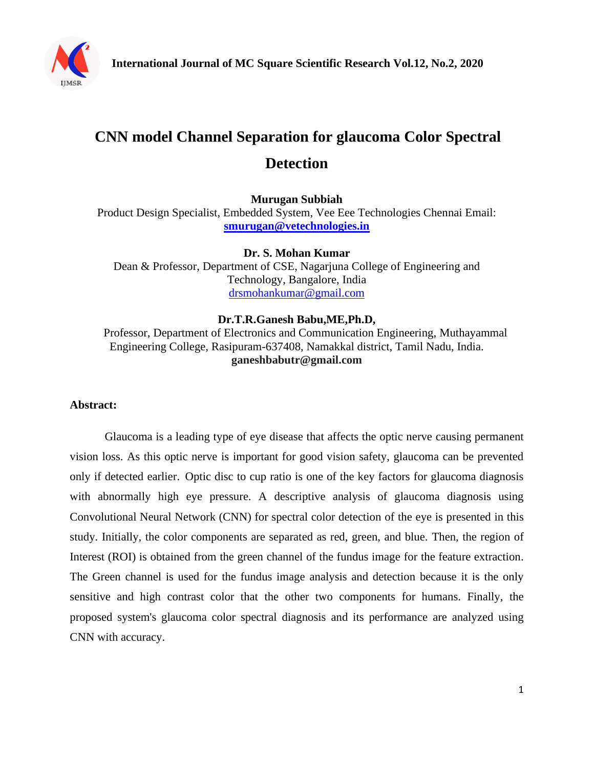

# **CNN model Channel Separation for glaucoma Color Spectral Detection**

**Murugan Subbiah**

Product Design Specialist, Embedded System, Vee Eee Technologies Chennai Email: **[smurugan@vetechnologies.in](mailto:smurugan@vetechnologies.in)**

**Dr. S. Mohan Kumar** Dean & Professor, Department of CSE, Nagarjuna College of Engineering and Technology, Bangalore, India [drsmohankumar@gmail.com](mailto:drsmohankumar@gmail.com)

## **Dr.T.R.Ganesh Babu,ME,Ph.D,**

 Professor, Department of Electronics and Communication Engineering, Muthayammal Engineering College, Rasipuram-637408, Namakkal district, Tamil Nadu, India. **ganeshbabutr@gmail.com**

## **Abstract:**

Glaucoma is a leading type of eye disease that affects the optic nerve causing permanent vision loss. As this optic nerve is important for good vision safety, glaucoma can be prevented only if detected earlier. Optic disc to cup ratio is one of the key factors for glaucoma diagnosis with abnormally high eye pressure. A descriptive analysis of glaucoma diagnosis using Convolutional Neural Network (CNN) for spectral color detection of the eye is presented in this study. Initially, the color components are separated as red, green, and blue. Then, the region of Interest (ROI) is obtained from the green channel of the fundus image for the feature extraction. The Green channel is used for the fundus image analysis and detection because it is the only sensitive and high contrast color that the other two components for humans. Finally, the proposed system's glaucoma color spectral diagnosis and its performance are analyzed using CNN with accuracy.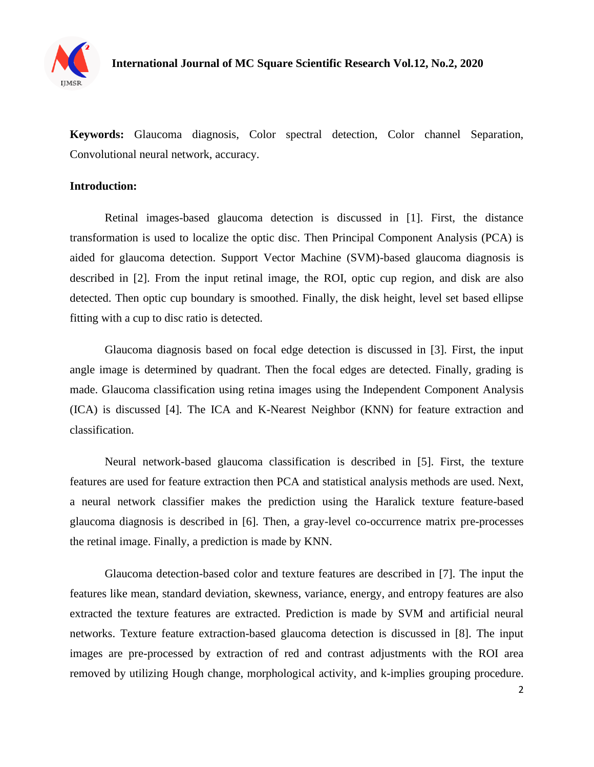

**Keywords:** Glaucoma diagnosis, Color spectral detection, Color channel Separation, Convolutional neural network, accuracy.

## **Introduction:**

Retinal images-based glaucoma detection is discussed in [1]. First, the distance transformation is used to localize the optic disc. Then Principal Component Analysis (PCA) is aided for glaucoma detection. Support Vector Machine (SVM)-based glaucoma diagnosis is described in [2]. From the input retinal image, the ROI, optic cup region, and disk are also detected. Then optic cup boundary is smoothed. Finally, the disk height, level set based ellipse fitting with a cup to disc ratio is detected.

Glaucoma diagnosis based on focal edge detection is discussed in [3]. First, the input angle image is determined by quadrant. Then the focal edges are detected. Finally, grading is made. Glaucoma classification using retina images using the Independent Component Analysis (ICA) is discussed [4]. The ICA and K-Nearest Neighbor (KNN) for feature extraction and classification.

Neural network-based glaucoma classification is described in [5]. First, the texture features are used for feature extraction then PCA and statistical analysis methods are used. Next, a neural network classifier makes the prediction using the Haralick texture feature-based glaucoma diagnosis is described in [6]. Then, a gray-level co-occurrence matrix pre-processes the retinal image. Finally, a prediction is made by KNN.

Glaucoma detection-based color and texture features are described in [7]. The input the features like mean, standard deviation, skewness, variance, energy, and entropy features are also extracted the texture features are extracted. Prediction is made by SVM and artificial neural networks. Texture feature extraction-based glaucoma detection is discussed in [8]. The input images are pre-processed by extraction of red and contrast adjustments with the ROI area removed by utilizing Hough change, morphological activity, and k-implies grouping procedure.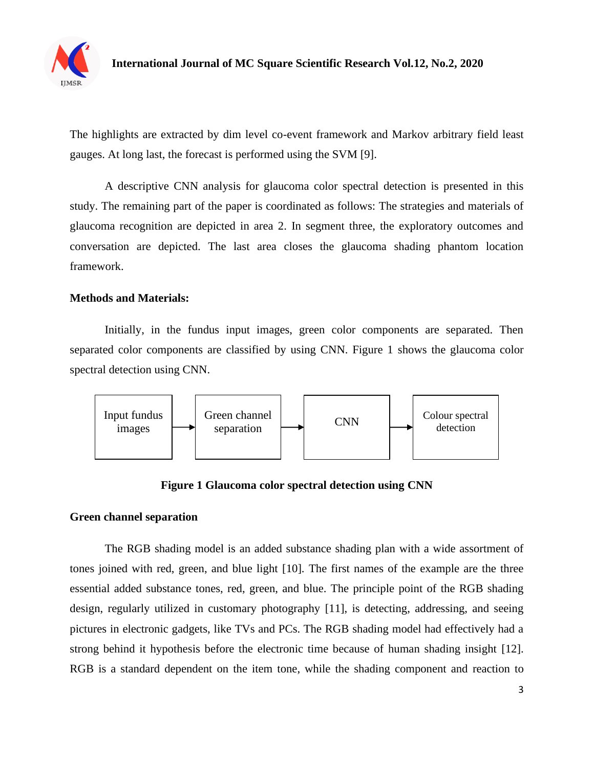

The highlights are extracted by dim level co-event framework and Markov arbitrary field least gauges. At long last, the forecast is performed using the SVM [9].

A descriptive CNN analysis for glaucoma color spectral detection is presented in this study. The remaining part of the paper is coordinated as follows: The strategies and materials of glaucoma recognition are depicted in area 2. In segment three, the exploratory outcomes and conversation are depicted. The last area closes the glaucoma shading phantom location framework.

## **Methods and Materials:**

Initially, in the fundus input images, green color components are separated. Then separated color components are classified by using CNN. Figure 1 shows the glaucoma color spectral detection using CNN.



**Figure 1 Glaucoma color spectral detection using CNN**

## **Green channel separation**

The RGB shading model is an added substance shading plan with a wide assortment of tones joined with red, green, and blue light [10]. The first names of the example are the three essential added substance tones, red, green, and blue. The principle point of the RGB shading design, regularly utilized in customary photography [11], is detecting, addressing, and seeing pictures in electronic gadgets, like TVs and PCs. The RGB shading model had effectively had a strong behind it hypothesis before the electronic time because of human shading insight [12]. RGB is a standard dependent on the item tone, while the shading component and reaction to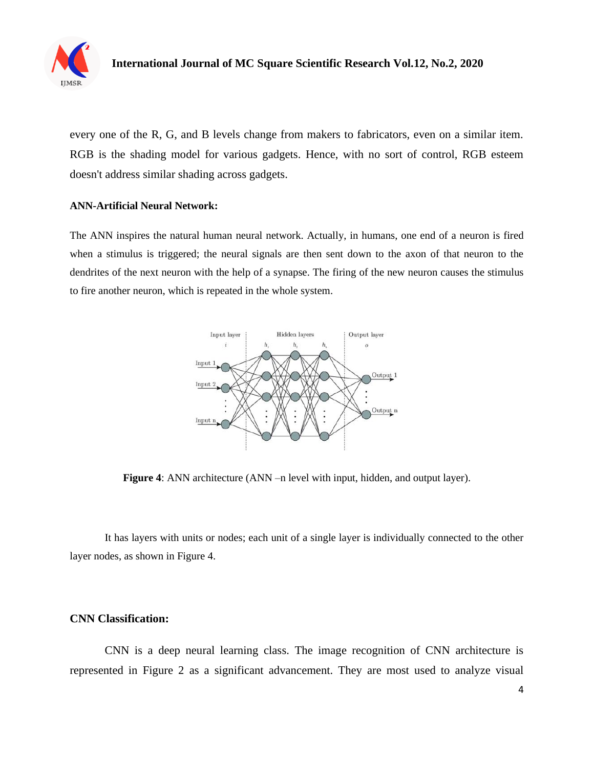

every one of the R, G, and B levels change from makers to fabricators, even on a similar item. RGB is the shading model for various gadgets. Hence, with no sort of control, RGB esteem doesn't address similar shading across gadgets.

#### **ANN-Artificial Neural Network:**

The ANN inspires the natural human neural network. Actually, in humans, one end of a neuron is fired when a stimulus is triggered; the neural signals are then sent down to the axon of that neuron to the dendrites of the next neuron with the help of a synapse. The firing of the new neuron causes the stimulus to fire another neuron, which is repeated in the whole system.



**Figure 4**: ANN architecture (ANN –n level with input, hidden, and output layer).

It has layers with units or nodes; each unit of a single layer is individually connected to the other layer nodes, as shown in Figure 4.

## **CNN Classification:**

CNN is a deep neural learning class. The image recognition of CNN architecture is represented in Figure 2 as a significant advancement. They are most used to analyze visual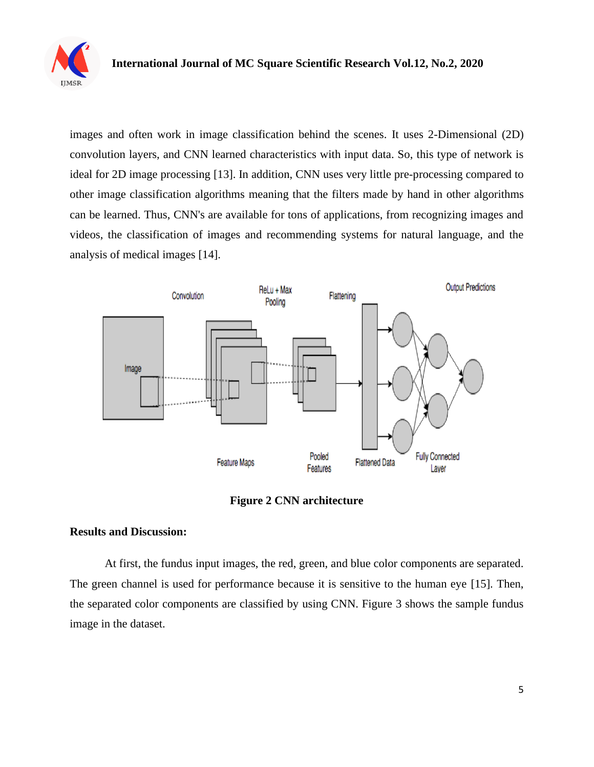

images and often work in image classification behind the scenes. It uses 2-Dimensional (2D) convolution layers, and CNN learned characteristics with input data. So, this type of network is ideal for 2D image processing [13]. In addition, CNN uses very little pre-processing compared to other image classification algorithms meaning that the filters made by hand in other algorithms can be learned. Thus, CNN's are available for tons of applications, from recognizing images and videos, the classification of images and recommending systems for natural language, and the analysis of medical images [14].



**Figure 2 CNN architecture** 

## **Results and Discussion:**

At first, the fundus input images, the red, green, and blue color components are separated. The green channel is used for performance because it is sensitive to the human eye [15]. Then, the separated color components are classified by using CNN. Figure 3 shows the sample fundus image in the dataset.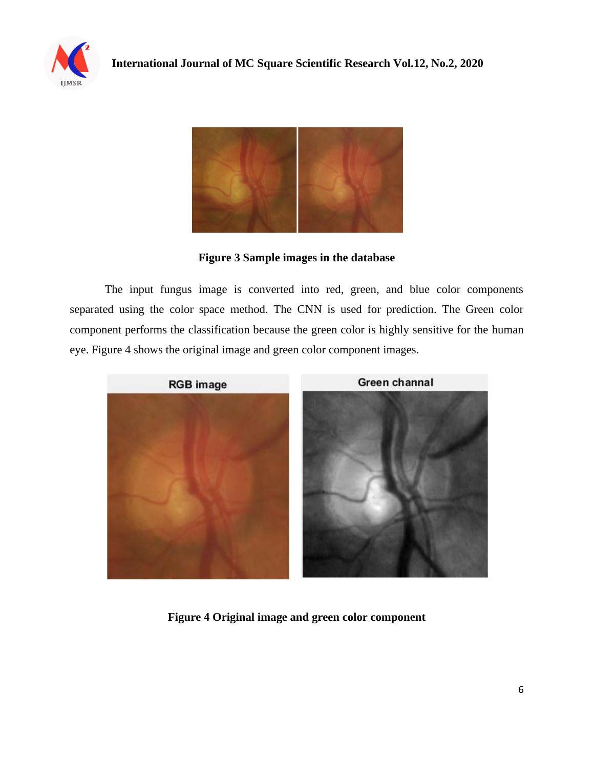



**Figure 3 Sample images in the database**

The input fungus image is converted into red, green, and blue color components separated using the color space method. The CNN is used for prediction. The Green color component performs the classification because the green color is highly sensitive for the human eye. Figure 4 shows the original image and green color component images.



**Figure 4 Original image and green color component**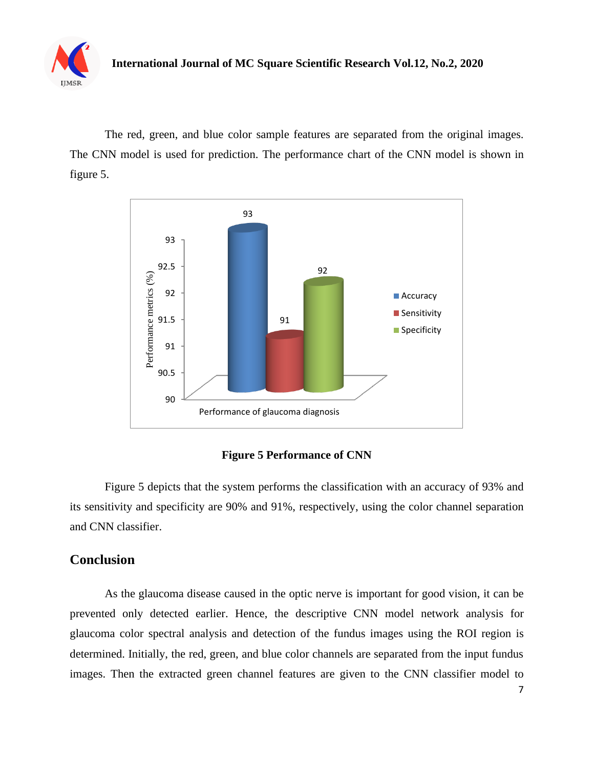

The red, green, and blue color sample features are separated from the original images. The CNN model is used for prediction. The performance chart of the CNN model is shown in figure 5.



**Figure 5 Performance of CNN**

Figure 5 depicts that the system performs the classification with an accuracy of 93% and its sensitivity and specificity are 90% and 91%, respectively, using the color channel separation and CNN classifier.

# **Conclusion**

As the glaucoma disease caused in the optic nerve is important for good vision, it can be prevented only detected earlier. Hence, the descriptive CNN model network analysis for glaucoma color spectral analysis and detection of the fundus images using the ROI region is determined. Initially, the red, green, and blue color channels are separated from the input fundus images. Then the extracted green channel features are given to the CNN classifier model to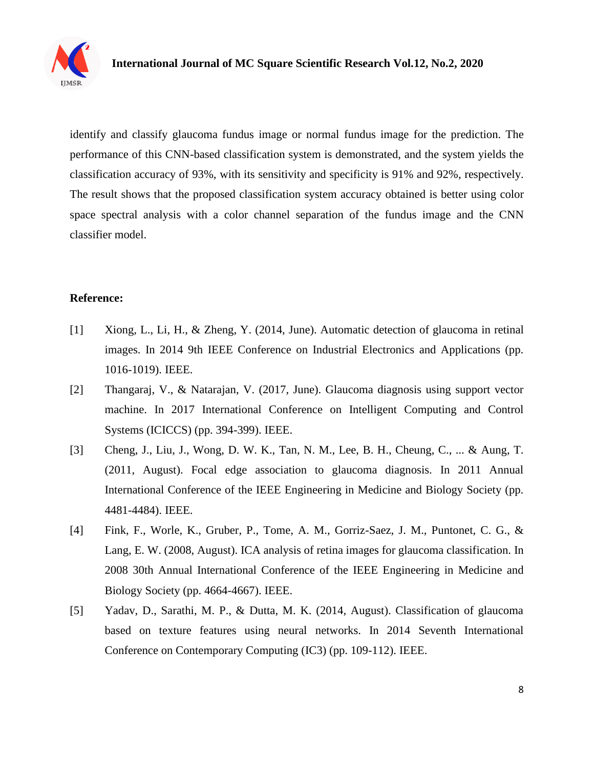

identify and classify glaucoma fundus image or normal fundus image for the prediction. The performance of this CNN-based classification system is demonstrated, and the system yields the classification accuracy of 93%, with its sensitivity and specificity is 91% and 92%, respectively. The result shows that the proposed classification system accuracy obtained is better using color space spectral analysis with a color channel separation of the fundus image and the CNN classifier model.

## **Reference:**

- [1] Xiong, L., Li, H., & Zheng, Y. (2014, June). Automatic detection of glaucoma in retinal images. In 2014 9th IEEE Conference on Industrial Electronics and Applications (pp. 1016-1019). IEEE.
- [2] Thangaraj, V., & Natarajan, V. (2017, June). Glaucoma diagnosis using support vector machine. In 2017 International Conference on Intelligent Computing and Control Systems (ICICCS) (pp. 394-399). IEEE.
- [3] Cheng, J., Liu, J., Wong, D. W. K., Tan, N. M., Lee, B. H., Cheung, C., ... & Aung, T. (2011, August). Focal edge association to glaucoma diagnosis. In 2011 Annual International Conference of the IEEE Engineering in Medicine and Biology Society (pp. 4481-4484). IEEE.
- [4] Fink, F., Worle, K., Gruber, P., Tome, A. M., Gorriz-Saez, J. M., Puntonet, C. G., & Lang, E. W. (2008, August). ICA analysis of retina images for glaucoma classification. In 2008 30th Annual International Conference of the IEEE Engineering in Medicine and Biology Society (pp. 4664-4667). IEEE.
- [5] Yadav, D., Sarathi, M. P., & Dutta, M. K. (2014, August). Classification of glaucoma based on texture features using neural networks. In 2014 Seventh International Conference on Contemporary Computing (IC3) (pp. 109-112). IEEE.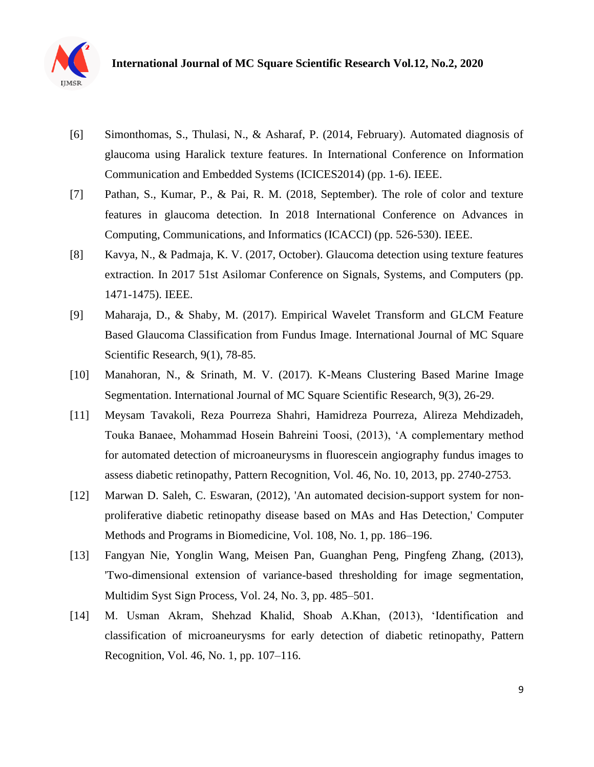

- [6] Simonthomas, S., Thulasi, N., & Asharaf, P. (2014, February). Automated diagnosis of glaucoma using Haralick texture features. In International Conference on Information Communication and Embedded Systems (ICICES2014) (pp. 1-6). IEEE.
- [7] Pathan, S., Kumar, P., & Pai, R. M. (2018, September). The role of color and texture features in glaucoma detection. In 2018 International Conference on Advances in Computing, Communications, and Informatics (ICACCI) (pp. 526-530). IEEE.
- [8] Kavya, N., & Padmaja, K. V. (2017, October). Glaucoma detection using texture features extraction. In 2017 51st Asilomar Conference on Signals, Systems, and Computers (pp. 1471-1475). IEEE.
- [9] Maharaja, D., & Shaby, M. (2017). Empirical Wavelet Transform and GLCM Feature Based Glaucoma Classification from Fundus Image. International Journal of MC Square Scientific Research, 9(1), 78-85.
- [10] Manahoran, N., & Srinath, M. V. (2017). K-Means Clustering Based Marine Image Segmentation. International Journal of MC Square Scientific Research, 9(3), 26-29.
- [11] Meysam Tavakoli, Reza Pourreza Shahri, Hamidreza Pourreza, Alireza Mehdizadeh, Touka Banaee, Mohammad Hosein Bahreini Toosi, (2013), 'A complementary method for automated detection of microaneurysms in fluorescein angiography fundus images to assess diabetic retinopathy, Pattern Recognition, Vol. 46, No. 10, 2013, pp. 2740-2753.
- [12] Marwan D. Saleh, C. Eswaran, (2012), 'An automated decision-support system for nonproliferative diabetic retinopathy disease based on MAs and Has Detection,' Computer Methods and Programs in Biomedicine, Vol. 108, No. 1, pp. 186–196.
- [13] Fangyan Nie, Yonglin Wang, Meisen Pan, Guanghan Peng, Pingfeng Zhang, (2013), 'Two-dimensional extension of variance-based thresholding for image segmentation, Multidim Syst Sign Process, Vol. 24, No. 3, pp. 485–501.
- [14] M. Usman Akram, Shehzad Khalid, Shoab A.Khan, (2013), 'Identification and classification of microaneurysms for early detection of diabetic retinopathy, Pattern Recognition, Vol. 46, No. 1, pp. 107–116.